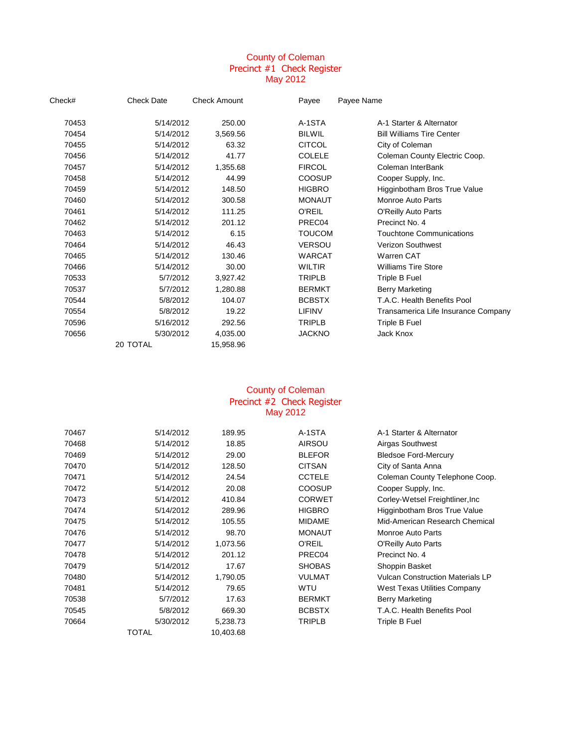### County of Coleman Precinct #1 Check Register May 2012

| Check# | <b>Check Date</b> | <b>Check Amount</b> | Payee         | Payee Name                          |
|--------|-------------------|---------------------|---------------|-------------------------------------|
| 70453  | 5/14/2012         | 250.00              | A-1STA        | A-1 Starter & Alternator            |
| 70454  | 5/14/2012         | 3,569.56            | <b>BILWIL</b> | <b>Bill Williams Tire Center</b>    |
| 70455  | 5/14/2012         | 63.32               | <b>CITCOL</b> | City of Coleman                     |
| 70456  | 5/14/2012         | 41.77               | <b>COLELE</b> | Coleman County Electric Coop.       |
| 70457  | 5/14/2012         | 1,355.68            | <b>FIRCOL</b> | Coleman InterBank                   |
| 70458  | 5/14/2012         | 44.99               | <b>COOSUP</b> | Cooper Supply, Inc.                 |
| 70459  | 5/14/2012         | 148.50              | <b>HIGBRO</b> | Higginbotham Bros True Value        |
| 70460  | 5/14/2012         | 300.58              | <b>MONAUT</b> | Monroe Auto Parts                   |
| 70461  | 5/14/2012         | 111.25              | O'REIL        | O'Reilly Auto Parts                 |
| 70462  | 5/14/2012         | 201.12              | PREC04        | Precinct No. 4                      |
| 70463  | 5/14/2012         | 6.15                | <b>TOUCOM</b> | <b>Touchtone Communications</b>     |
| 70464  | 5/14/2012         | 46.43               | <b>VERSOU</b> | <b>Verizon Southwest</b>            |
| 70465  | 5/14/2012         | 130.46              | <b>WARCAT</b> | Warren CAT                          |
| 70466  | 5/14/2012         | 30.00               | <b>WILTIR</b> | <b>Williams Tire Store</b>          |
| 70533  | 5/7/2012          | 3,927.42            | <b>TRIPLB</b> | Triple B Fuel                       |
| 70537  | 5/7/2012          | 1,280.88            | <b>BERMKT</b> | Berry Marketing                     |
| 70544  | 5/8/2012          | 104.07              | <b>BCBSTX</b> | T.A.C. Health Benefits Pool         |
| 70554  | 5/8/2012          | 19.22               | <b>LIFINV</b> | Transamerica Life Insurance Company |
| 70596  | 5/16/2012         | 292.56              | <b>TRIPLB</b> | Triple B Fuel                       |
| 70656  | 5/30/2012         | 4,035.00            | <b>JACKNO</b> | Jack Knox                           |
|        | 20 TOTAL          | 15,958.96           |               |                                     |

#### County of Coleman Precinct #2 Check Register May 2012

| 70467 | 5/14/2012 | 189.95    | A-1STA        | A-1 Starter & Alternator                |
|-------|-----------|-----------|---------------|-----------------------------------------|
| 70468 | 5/14/2012 | 18.85     | AIRSOU        | Airgas Southwest                        |
| 70469 | 5/14/2012 | 29.00     | <b>BLEFOR</b> | <b>Bledsoe Ford-Mercury</b>             |
| 70470 | 5/14/2012 | 128.50    | <b>CITSAN</b> | City of Santa Anna                      |
| 70471 | 5/14/2012 | 24.54     | <b>CCTELE</b> | Coleman County Telephone Coop.          |
| 70472 | 5/14/2012 | 20.08     | COOSUP        | Cooper Supply, Inc.                     |
| 70473 | 5/14/2012 | 410.84    | <b>CORWET</b> | Corley-Wetsel Freightliner, Inc.        |
| 70474 | 5/14/2012 | 289.96    | <b>HIGBRO</b> | Higginbotham Bros True Value            |
| 70475 | 5/14/2012 | 105.55    | <b>MIDAME</b> | Mid-American Research Chemical          |
| 70476 | 5/14/2012 | 98.70     | <b>MONAUT</b> | Monroe Auto Parts                       |
| 70477 | 5/14/2012 | 1,073.56  | <b>O'REIL</b> | <b>O'Reilly Auto Parts</b>              |
| 70478 | 5/14/2012 | 201.12    | PREC04        | Precinct No. 4                          |
| 70479 | 5/14/2012 | 17.67     | <b>SHOBAS</b> | Shoppin Basket                          |
| 70480 | 5/14/2012 | 1,790.05  | <b>VULMAT</b> | <b>Vulcan Construction Materials LP</b> |
| 70481 | 5/14/2012 | 79.65     | <b>WTU</b>    | West Texas Utilities Company            |
| 70538 | 5/7/2012  | 17.63     | <b>BERMKT</b> | Berry Marketing                         |
| 70545 | 5/8/2012  | 669.30    | <b>BCBSTX</b> | T.A.C. Health Benefits Pool             |
| 70664 | 5/30/2012 | 5,238.73  | <b>TRIPLB</b> | Triple B Fuel                           |
|       | TOTAL     | 10,403.68 |               |                                         |
|       |           |           |               |                                         |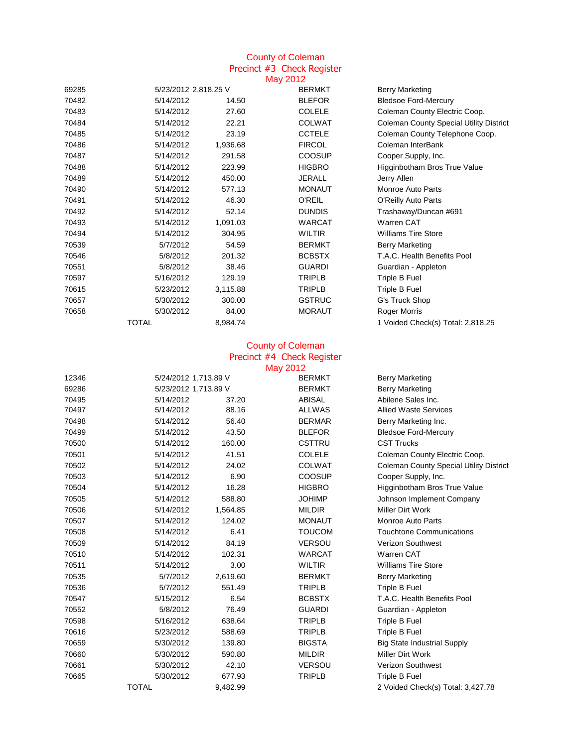#### County of Coleman Precinct #3 Check Register May 2012

|       |                      |          | $\cdots$      |                                                |
|-------|----------------------|----------|---------------|------------------------------------------------|
| 69285 | 5/23/2012 2,818.25 V |          | <b>BERMKT</b> | Berry Marketing                                |
| 70482 | 5/14/2012            | 14.50    | <b>BLEFOR</b> | <b>Bledsoe Ford-Mercury</b>                    |
| 70483 | 5/14/2012            | 27.60    | <b>COLELE</b> | Coleman County Electric Coop.                  |
| 70484 | 5/14/2012            | 22.21    | <b>COLWAT</b> | <b>Coleman County Special Utility District</b> |
| 70485 | 5/14/2012            | 23.19    | <b>CCTELE</b> | Coleman County Telephone Coop.                 |
| 70486 | 5/14/2012            | 1,936.68 | <b>FIRCOL</b> | Coleman InterBank                              |
| 70487 | 5/14/2012            | 291.58   | <b>COOSUP</b> | Cooper Supply, Inc.                            |
| 70488 | 5/14/2012            | 223.99   | <b>HIGBRO</b> | Higginbotham Bros True Value                   |
| 70489 | 5/14/2012            | 450.00   | <b>JERALL</b> | Jerry Allen                                    |
| 70490 | 5/14/2012            | 577.13   | <b>MONAUT</b> | <b>Monroe Auto Parts</b>                       |
| 70491 | 5/14/2012            | 46.30    | <b>O'REIL</b> | <b>O'Reilly Auto Parts</b>                     |
| 70492 | 5/14/2012            | 52.14    | <b>DUNDIS</b> | Trashaway/Duncan #691                          |
| 70493 | 5/14/2012            | 1,091.03 | <b>WARCAT</b> | Warren CAT                                     |
| 70494 | 5/14/2012            | 304.95   | <b>WILTIR</b> | <b>Williams Tire Store</b>                     |
| 70539 | 5/7/2012             | 54.59    | <b>BERMKT</b> | <b>Berry Marketing</b>                         |
| 70546 | 5/8/2012             | 201.32   | <b>BCBSTX</b> | T.A.C. Health Benefits Pool                    |
| 70551 | 5/8/2012             | 38.46    | <b>GUARDI</b> | Guardian - Appleton                            |
| 70597 | 5/16/2012            | 129.19   | <b>TRIPLB</b> | Triple B Fuel                                  |
| 70615 | 5/23/2012            | 3,115.88 | <b>TRIPLB</b> | Triple B Fuel                                  |
| 70657 | 5/30/2012            | 300.00   | <b>GSTRUC</b> | G's Truck Shop                                 |
| 70658 | 5/30/2012            | 84.00    | <b>MORAUT</b> | Roger Morris                                   |
|       | <b>TOTAL</b>         | 8,984.74 |               | 1 Voided Check(s) Total: 2,818.25              |

# Precinct #4 Check Register County of Coleman

|       |                      |          | May 2012      |                                                |
|-------|----------------------|----------|---------------|------------------------------------------------|
| 12346 | 5/24/2012 1,713.89 V |          | <b>BERMKT</b> | <b>Berry Marketing</b>                         |
| 69286 | 5/23/2012 1,713.89 V |          | <b>BERMKT</b> | <b>Berry Marketing</b>                         |
| 70495 | 5/14/2012            | 37.20    | <b>ABISAL</b> | Abilene Sales Inc.                             |
| 70497 | 5/14/2012            | 88.16    | <b>ALLWAS</b> | <b>Allied Waste Services</b>                   |
| 70498 | 5/14/2012            | 56.40    | <b>BERMAR</b> | Berry Marketing Inc.                           |
| 70499 | 5/14/2012            | 43.50    | <b>BLEFOR</b> | <b>Bledsoe Ford-Mercury</b>                    |
| 70500 | 5/14/2012            | 160.00   | CSTTRU        | <b>CST Trucks</b>                              |
| 70501 | 5/14/2012            | 41.51    | <b>COLELE</b> | Coleman County Electric Coop.                  |
| 70502 | 5/14/2012            | 24.02    | <b>COLWAT</b> | <b>Coleman County Special Utility District</b> |
| 70503 | 5/14/2012            | 6.90     | <b>COOSUP</b> | Cooper Supply, Inc.                            |
| 70504 | 5/14/2012            | 16.28    | <b>HIGBRO</b> | Higginbotham Bros True Value                   |
| 70505 | 5/14/2012            | 588.80   | <b>JOHIMP</b> | Johnson Implement Company                      |
| 70506 | 5/14/2012            | 1,564.85 | <b>MILDIR</b> | Miller Dirt Work                               |
| 70507 | 5/14/2012            | 124.02   | <b>MONAUT</b> | Monroe Auto Parts                              |
| 70508 | 5/14/2012            | 6.41     | <b>TOUCOM</b> | <b>Touchtone Communications</b>                |
| 70509 | 5/14/2012            | 84.19    | <b>VERSOU</b> | <b>Verizon Southwest</b>                       |
| 70510 | 5/14/2012            | 102.31   | <b>WARCAT</b> | Warren CAT                                     |
| 70511 | 5/14/2012            | 3.00     | <b>WILTIR</b> | <b>Williams Tire Store</b>                     |
| 70535 | 5/7/2012             | 2,619.60 | <b>BERMKT</b> | <b>Berry Marketing</b>                         |
| 70536 | 5/7/2012             | 551.49   | <b>TRIPLB</b> | Triple B Fuel                                  |
| 70547 | 5/15/2012            | 6.54     | <b>BCBSTX</b> | T.A.C. Health Benefits Pool                    |
| 70552 | 5/8/2012             | 76.49    | <b>GUARDI</b> | Guardian - Appleton                            |
| 70598 | 5/16/2012            | 638.64   | <b>TRIPLB</b> | Triple B Fuel                                  |
| 70616 | 5/23/2012            | 588.69   | <b>TRIPLB</b> | Triple B Fuel                                  |
| 70659 | 5/30/2012            | 139.80   | <b>BIGSTA</b> | <b>Big State Industrial Supply</b>             |
| 70660 | 5/30/2012            | 590.80   | <b>MILDIR</b> | Miller Dirt Work                               |
| 70661 | 5/30/2012            | 42.10    | <b>VERSOU</b> | <b>Verizon Southwest</b>                       |
| 70665 | 5/30/2012            | 677.93   | <b>TRIPLB</b> | Triple B Fuel                                  |
|       | <b>TOTAL</b>         | 9,482.99 |               | 2 Voided Check(s) Total: 3,427.78              |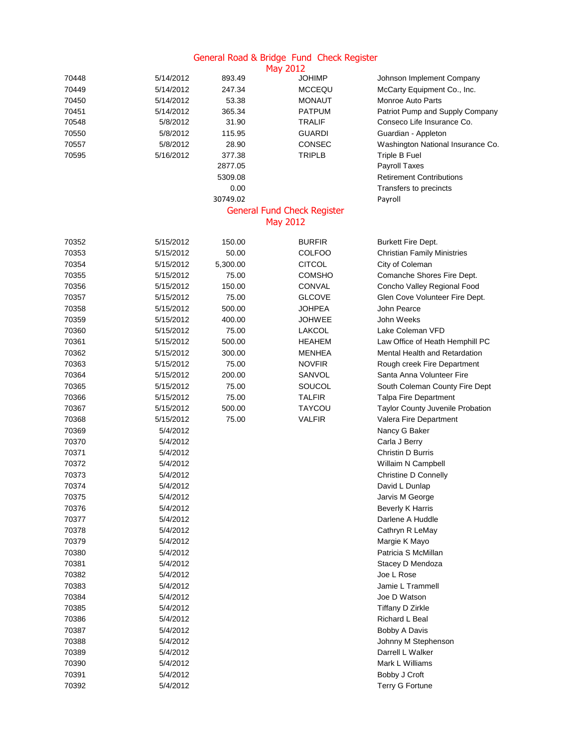## General Road & Bridge Fund Check Register

|       |           |          | <b>May 2012</b>                    |                                    |
|-------|-----------|----------|------------------------------------|------------------------------------|
| 70448 | 5/14/2012 | 893.49   | <b>JOHIMP</b>                      | Johnson Implement Company          |
| 70449 | 5/14/2012 | 247.34   | <b>MCCEQU</b>                      | McCarty Equipment Co., Inc.        |
| 70450 | 5/14/2012 | 53.38    | MONAUT                             | <b>Monroe Auto Parts</b>           |
| 70451 | 5/14/2012 | 365.34   | <b>PATPUM</b>                      | Patriot Pump and Supply Company    |
| 70548 | 5/8/2012  | 31.90    | <b>TRALIF</b>                      | Conseco Life Insurance Co.         |
| 70550 | 5/8/2012  | 115.95   | <b>GUARDI</b>                      | Guardian - Appleton                |
| 70557 | 5/8/2012  | 28.90    | <b>CONSEC</b>                      | Washington National Insurance Co.  |
| 70595 | 5/16/2012 | 377.38   | <b>TRIPLB</b>                      | Triple B Fuel                      |
|       |           | 2877.05  |                                    | Payroll Taxes                      |
|       |           | 5309.08  |                                    | <b>Retirement Contributions</b>    |
|       |           | 0.00     |                                    | Transfers to precincts             |
|       |           | 30749.02 |                                    | Payroll                            |
|       |           |          | <b>General Fund Check Register</b> |                                    |
|       |           |          | <b>May 2012</b>                    |                                    |
| 70352 | 5/15/2012 | 150.00   | <b>BURFIR</b>                      | Burkett Fire Dept.                 |
| 70353 | 5/15/2012 | 50.00    | <b>COLFOO</b>                      | <b>Christian Family Ministries</b> |
| 70354 | 5/15/2012 | 5,300.00 | <b>CITCOL</b>                      | City of Coleman                    |
| 70355 | 5/15/2012 | 75.00    | <b>COMSHO</b>                      | Comanche Shores Fire Dept.         |
| 70356 | 5/15/2012 | 150.00   | <b>CONVAL</b>                      | Concho Valley Regional Food        |
| 70357 | 5/15/2012 | 75.00    | <b>GLCOVE</b>                      | Glen Cove Volunteer Fire Dept.     |
| 70358 | 5/15/2012 | 500.00   | <b>JOHPEA</b>                      | John Pearce                        |
| 70359 | 5/15/2012 | 400.00   | <b>JOHWEE</b>                      | John Weeks                         |
| 70360 | 5/15/2012 | 75.00    | <b>LAKCOL</b>                      | Lake Coleman VFD                   |
| 70361 | 5/15/2012 | 500.00   | <b>HEAHEM</b>                      |                                    |
|       |           |          |                                    | Law Office of Heath Hemphill PC    |
| 70362 | 5/15/2012 | 300.00   | MENHEA                             | Mental Health and Retardation      |
| 70363 | 5/15/2012 | 75.00    | <b>NOVFIR</b>                      | Rough creek Fire Department        |
| 70364 | 5/15/2012 | 200.00   | SANVOL                             | Santa Anna Volunteer Fire          |
| 70365 | 5/15/2012 | 75.00    | SOUCOL                             | South Coleman County Fire Dept     |
| 70366 | 5/15/2012 | 75.00    | <b>TALFIR</b>                      | <b>Talpa Fire Department</b>       |
| 70367 | 5/15/2012 | 500.00   | <b>TAYCOU</b>                      | Taylor County Juvenile Probation   |
| 70368 | 5/15/2012 | 75.00    | <b>VALFIR</b>                      | Valera Fire Department             |
| 70369 | 5/4/2012  |          |                                    | Nancy G Baker                      |
| 70370 | 5/4/2012  |          |                                    | Carla J Berry                      |
| 70371 | 5/4/2012  |          |                                    | Christin D Burris                  |
| 70372 | 5/4/2012  |          |                                    | Willaim N Campbell                 |
| 70373 | 5/4/2012  |          |                                    | <b>Christine D Connelly</b>        |
| 70374 | 5/4/2012  |          |                                    | David L Dunlap                     |
| 70375 | 5/4/2012  |          |                                    | Jarvis M George                    |
| 70376 | 5/4/2012  |          |                                    | <b>Beverly K Harris</b>            |
| 70377 | 5/4/2012  |          |                                    | Darlene A Huddle                   |
| 70378 | 5/4/2012  |          |                                    | Cathryn R LeMay                    |
| 70379 | 5/4/2012  |          |                                    | Margie K Mayo                      |
| 70380 | 5/4/2012  |          |                                    | Patricia S McMillan                |
| 70381 | 5/4/2012  |          |                                    | Stacey D Mendoza                   |
| 70382 | 5/4/2012  |          |                                    | Joe L Rose                         |
| 70383 | 5/4/2012  |          |                                    | Jamie L Trammell                   |
| 70384 | 5/4/2012  |          |                                    | Joe D Watson                       |
| 70385 | 5/4/2012  |          |                                    | <b>Tiffany D Zirkle</b>            |
| 70386 | 5/4/2012  |          |                                    | Richard L Beal                     |
| 70387 | 5/4/2012  |          |                                    | Bobby A Davis                      |
| 70388 | 5/4/2012  |          |                                    | Johnny M Stephenson                |
| 70389 | 5/4/2012  |          |                                    | Darrell L Walker                   |
| 70390 | 5/4/2012  |          |                                    | Mark L Williams                    |
| 70391 | 5/4/2012  |          |                                    | Bobby J Croft                      |
| 70392 | 5/4/2012  |          |                                    | <b>Terry G Fortune</b>             |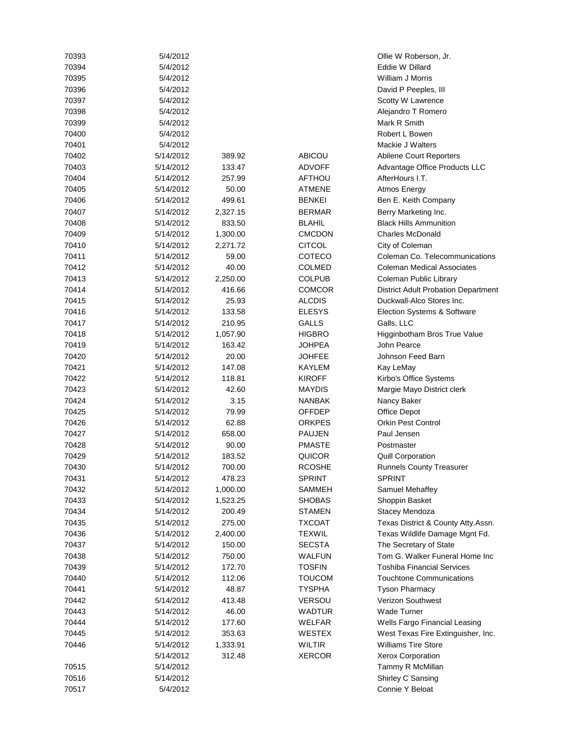| 70393 | 5/4/2012  |          |               | Ollie W Roberson, Jr.                      |
|-------|-----------|----------|---------------|--------------------------------------------|
| 70394 | 5/4/2012  |          |               | Eddie W Dillard                            |
| 70395 | 5/4/2012  |          |               | William J Morris                           |
| 70396 | 5/4/2012  |          |               | David P Peeples, III                       |
| 70397 | 5/4/2012  |          |               | Scotty W Lawrence                          |
| 70398 | 5/4/2012  |          |               | Alejandro T Romero                         |
| 70399 | 5/4/2012  |          |               | Mark R Smith                               |
| 70400 | 5/4/2012  |          |               | Robert L Bowen                             |
| 70401 | 5/4/2012  |          |               | Mackie J Walters                           |
| 70402 | 5/14/2012 | 389.92   | <b>ABICOU</b> | Abilene Court Reporters                    |
| 70403 | 5/14/2012 | 133.47   | <b>ADVOFF</b> | Advantage Office Products LLC              |
| 70404 | 5/14/2012 | 257.99   | AFTHOU        | AfterHours I.T.                            |
| 70405 | 5/14/2012 | 50.00    | <b>ATMENE</b> | Atmos Energy                               |
| 70406 | 5/14/2012 | 499.61   | <b>BENKEI</b> | Ben E. Keith Company                       |
| 70407 | 5/14/2012 | 2,327.15 | <b>BERMAR</b> | Berry Marketing Inc.                       |
| 70408 | 5/14/2012 | 833.50   | <b>BLAHIL</b> | <b>Black Hills Ammunition</b>              |
| 70409 | 5/14/2012 | 1,300.00 | <b>CMCDON</b> | <b>Charles McDonald</b>                    |
| 70410 | 5/14/2012 | 2,271.72 | <b>CITCOL</b> | City of Coleman                            |
| 70411 | 5/14/2012 | 59.00    | COTECO        | Coleman Co. Telecommunications             |
| 70412 | 5/14/2012 | 40.00    | <b>COLMED</b> | <b>Coleman Medical Associates</b>          |
| 70413 | 5/14/2012 | 2,250.00 | <b>COLPUB</b> | Coleman Public Library                     |
| 70414 | 5/14/2012 | 416.66   | <b>COMCOR</b> | <b>District Adult Probation Department</b> |
| 70415 | 5/14/2012 | 25.93    | <b>ALCDIS</b> | Duckwall-Alco Stores Inc.                  |
| 70416 | 5/14/2012 | 133.58   | <b>ELESYS</b> | Election Systems & Software                |
| 70417 | 5/14/2012 | 210.95   | <b>GALLS</b>  | Galls, LLC                                 |
| 70418 | 5/14/2012 | 1,057.90 | <b>HIGBRO</b> | Higginbotham Bros True Value               |
| 70419 | 5/14/2012 | 163.42   | <b>JOHPEA</b> | John Pearce                                |
| 70420 | 5/14/2012 | 20.00    | <b>JOHFEE</b> | Johnson Feed Barn                          |
| 70421 | 5/14/2012 | 147.08   | KAYLEM        | Kay LeMay                                  |
| 70422 | 5/14/2012 | 118.81   | <b>KIROFF</b> | Kirbo's Office Systems                     |
| 70423 | 5/14/2012 | 42.60    | <b>MAYDIS</b> | Margie Mayo District clerk                 |
| 70424 | 5/14/2012 | 3.15     | <b>NANBAK</b> | Nancy Baker                                |
| 70425 | 5/14/2012 | 79.99    | OFFDEP        | Office Depot                               |
| 70426 | 5/14/2012 | 62.88    | <b>ORKPES</b> | <b>Orkin Pest Control</b>                  |
| 70427 | 5/14/2012 | 658.00   | <b>PAUJEN</b> | Paul Jensen                                |
| 70428 | 5/14/2012 | 90.00    | <b>PMASTE</b> | Postmaster                                 |
| 70429 | 5/14/2012 | 183.52   | QUICOR        | <b>Quill Corporation</b>                   |
| 70430 | 5/14/2012 | 700.00   | <b>RCOSHE</b> | <b>Runnels County Treasurer</b>            |
| 70431 | 5/14/2012 | 478.23   | <b>SPRINT</b> | <b>SPRINT</b>                              |
| 70432 | 5/14/2012 | 1,000.00 | <b>SAMMEH</b> | Samuel Mehaffey                            |
| 70433 | 5/14/2012 | 1,523.25 | <b>SHOBAS</b> | Shoppin Basket                             |
| 70434 | 5/14/2012 | 200.49   | <b>STAMEN</b> | Stacey Mendoza                             |
| 70435 | 5/14/2012 | 275.00   | <b>TXCOAT</b> | Texas District & County Atty.Assn.         |
| 70436 | 5/14/2012 | 2,400.00 | <b>TEXWIL</b> | Texas Wildlife Damage Mgnt Fd.             |
| 70437 | 5/14/2012 | 150.00   | <b>SECSTA</b> | The Secretary of State                     |
| 70438 | 5/14/2012 | 750.00   | <b>WALFUN</b> | Tom G. Walker Funeral Home Inc             |
| 70439 | 5/14/2012 | 172.70   | <b>TOSFIN</b> | <b>Toshiba Financial Services</b>          |
| 70440 | 5/14/2012 | 112.06   | <b>TOUCOM</b> | <b>Touchtone Communications</b>            |
| 70441 | 5/14/2012 | 48.87    | <b>TYSPHA</b> | <b>Tyson Pharmacy</b>                      |
| 70442 | 5/14/2012 | 413.48   | <b>VERSOU</b> | Verizon Southwest                          |
| 70443 | 5/14/2012 | 46.00    | WADTUR        | <b>Wade Turner</b>                         |
| 70444 | 5/14/2012 | 177.60   | WELFAR        | Wells Fargo Financial Leasing              |
| 70445 | 5/14/2012 | 353.63   | WESTEX        | West Texas Fire Extinguisher, Inc.         |
| 70446 | 5/14/2012 | 1,333.91 | <b>WILTIR</b> | <b>Williams Tire Store</b>                 |
|       | 5/14/2012 | 312.48   | <b>XERCOR</b> | Xerox Corporation                          |
| 70515 | 5/14/2012 |          |               | Tammy R McMillan                           |
| 70516 | 5/14/2012 |          |               | Shirley C Sansing                          |
| 70517 | 5/4/2012  |          |               | Connie Y Beloat                            |
|       |           |          |               |                                            |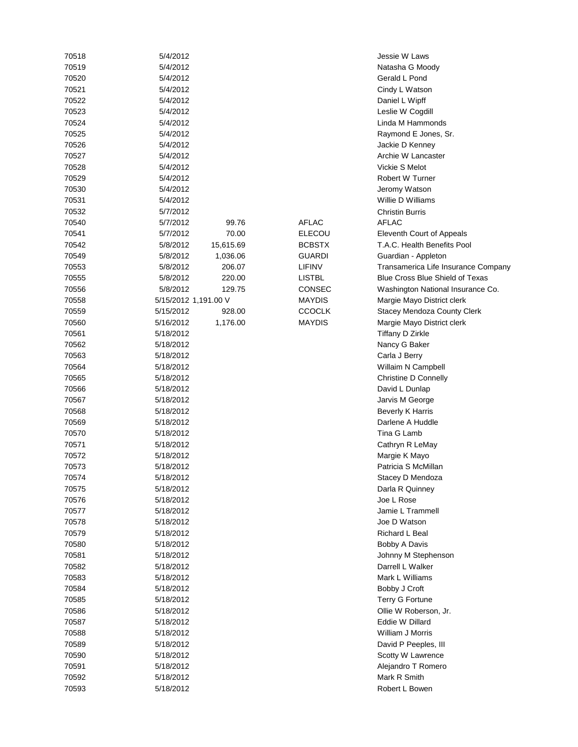| 70518 | 5/4/2012             |           |               | Jessie W Laws                          |
|-------|----------------------|-----------|---------------|----------------------------------------|
| 70519 | 5/4/2012             |           |               | Natasha G Moody                        |
| 70520 | 5/4/2012             |           |               | Gerald L Pond                          |
| 70521 | 5/4/2012             |           |               | Cindy L Watson                         |
| 70522 | 5/4/2012             |           |               | Daniel L Wipff                         |
| 70523 | 5/4/2012             |           |               | Leslie W Cogdill                       |
| 70524 | 5/4/2012             |           |               | Linda M Hammonds                       |
| 70525 | 5/4/2012             |           |               | Raymond E Jones, Sr.                   |
| 70526 | 5/4/2012             |           |               | Jackie D Kenney                        |
| 70527 | 5/4/2012             |           |               | Archie W Lancaster                     |
| 70528 | 5/4/2012             |           |               | Vickie S Melot                         |
| 70529 | 5/4/2012             |           |               | Robert W Turner                        |
| 70530 | 5/4/2012             |           |               | Jeromy Watson                          |
| 70531 | 5/4/2012             |           |               | Willie D Williams                      |
| 70532 | 5/7/2012             |           |               | <b>Christin Burris</b>                 |
| 70540 | 5/7/2012             | 99.76     | <b>AFLAC</b>  | <b>AFLAC</b>                           |
| 70541 | 5/7/2012             | 70.00     | <b>ELECOU</b> | Eleventh Court of Appeals              |
| 70542 | 5/8/2012             | 15,615.69 | <b>BCBSTX</b> | T.A.C. Health Benefits Pool            |
| 70549 | 5/8/2012             | 1,036.06  | <b>GUARDI</b> | Guardian - Appleton                    |
| 70553 | 5/8/2012             | 206.07    | LIFINV        | Transamerica Life Insurance Company    |
| 70555 | 5/8/2012             | 220.00    | <b>LISTBL</b> | <b>Blue Cross Blue Shield of Texas</b> |
| 70556 | 5/8/2012             | 129.75    | CONSEC        | Washington National Insurance Co.      |
| 70558 | 5/15/2012 1,191.00 V |           | MAYDIS        | Margie Mayo District clerk             |
| 70559 | 5/15/2012            | 928.00    | <b>CCOCLK</b> | <b>Stacey Mendoza County Clerk</b>     |
| 70560 | 5/16/2012            | 1,176.00  | <b>MAYDIS</b> |                                        |
| 70561 | 5/18/2012            |           |               | Margie Mayo District clerk             |
| 70562 |                      |           |               | Tiffany D Zirkle                       |
|       | 5/18/2012            |           |               | Nancy G Baker                          |
| 70563 | 5/18/2012            |           |               | Carla J Berry                          |
| 70564 | 5/18/2012            |           |               | Willaim N Campbell                     |
| 70565 | 5/18/2012            |           |               | Christine D Connelly                   |
| 70566 | 5/18/2012            |           |               | David L Dunlap                         |
| 70567 | 5/18/2012            |           |               | Jarvis M George                        |
| 70568 | 5/18/2012            |           |               | <b>Beverly K Harris</b>                |
| 70569 | 5/18/2012            |           |               | Darlene A Huddle                       |
| 70570 | 5/18/2012            |           |               | Tina G Lamb                            |
| 70571 | 5/18/2012            |           |               | Cathryn R LeMay                        |
| 70572 | 5/18/2012            |           |               | Margie K Mayo                          |
| 70573 | 5/18/2012            |           |               | Patricia S McMillan                    |
| 70574 | 5/18/2012            |           |               | Stacey D Mendoza                       |
| 70575 | 5/18/2012            |           |               | Darla R Quinney                        |
| 70576 | 5/18/2012            |           |               | Joe L Rose                             |
| 70577 | 5/18/2012            |           |               | Jamie L Trammell                       |
| 70578 | 5/18/2012            |           |               | Joe D Watson                           |
| 70579 | 5/18/2012            |           |               | Richard L Beal                         |
| 70580 | 5/18/2012            |           |               | Bobby A Davis                          |
| 70581 | 5/18/2012            |           |               | Johnny M Stephenson                    |
| 70582 | 5/18/2012            |           |               | Darrell L Walker                       |
| 70583 | 5/18/2012            |           |               | Mark L Williams                        |
| 70584 | 5/18/2012            |           |               | Bobby J Croft                          |
| 70585 | 5/18/2012            |           |               | Terry G Fortune                        |
| 70586 | 5/18/2012            |           |               | Ollie W Roberson, Jr.                  |
| 70587 | 5/18/2012            |           |               | Eddie W Dillard                        |
| 70588 | 5/18/2012            |           |               | William J Morris                       |
| 70589 | 5/18/2012            |           |               | David P Peeples, III                   |
| 70590 | 5/18/2012            |           |               | Scotty W Lawrence                      |
| 70591 | 5/18/2012            |           |               | Alejandro T Romero                     |
| 70592 | 5/18/2012            |           |               | Mark R Smith                           |
| 70593 | 5/18/2012            |           |               | Robert L Bowen                         |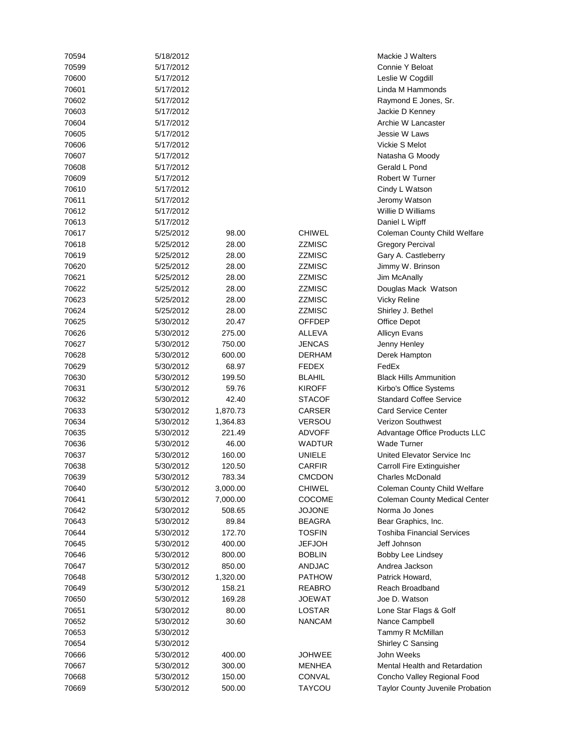| 70594 | 5/18/2012 |          |               | Mackie J Walters                     |
|-------|-----------|----------|---------------|--------------------------------------|
| 70599 | 5/17/2012 |          |               | Connie Y Beloat                      |
| 70600 | 5/17/2012 |          |               | Leslie W Cogdill                     |
| 70601 | 5/17/2012 |          |               | Linda M Hammonds                     |
| 70602 | 5/17/2012 |          |               | Raymond E Jones, Sr.                 |
| 70603 | 5/17/2012 |          |               | Jackie D Kenney                      |
| 70604 | 5/17/2012 |          |               | Archie W Lancaster                   |
| 70605 | 5/17/2012 |          |               | Jessie W Laws                        |
| 70606 | 5/17/2012 |          |               | Vickie S Melot                       |
| 70607 | 5/17/2012 |          |               | Natasha G Moody                      |
| 70608 | 5/17/2012 |          |               | Gerald L Pond                        |
| 70609 | 5/17/2012 |          |               | Robert W Turner                      |
| 70610 | 5/17/2012 |          |               | Cindy L Watson                       |
| 70611 | 5/17/2012 |          |               | Jeromy Watson                        |
| 70612 | 5/17/2012 |          |               | Willie D Williams                    |
| 70613 | 5/17/2012 |          |               | Daniel L Wipff                       |
| 70617 | 5/25/2012 | 98.00    | <b>CHIWEL</b> | Coleman County Child Welfare         |
| 70618 | 5/25/2012 | 28.00    | ZZMISC        | <b>Gregory Percival</b>              |
| 70619 | 5/25/2012 | 28.00    | <b>ZZMISC</b> | Gary A. Castleberry                  |
| 70620 | 5/25/2012 | 28.00    | ZZMISC        | Jimmy W. Brinson                     |
| 70621 | 5/25/2012 | 28.00    | ZZMISC        | Jim McAnally                         |
| 70622 | 5/25/2012 | 28.00    | <b>ZZMISC</b> | Douglas Mack Watson                  |
| 70623 | 5/25/2012 | 28.00    | <b>ZZMISC</b> | <b>Vicky Reline</b>                  |
| 70624 | 5/25/2012 | 28.00    | <b>ZZMISC</b> | Shirley J. Bethel                    |
| 70625 | 5/30/2012 | 20.47    | OFFDEP        | <b>Office Depot</b>                  |
| 70626 | 5/30/2012 | 275.00   | ALLEVA        | <b>Allicyn Evans</b>                 |
| 70627 | 5/30/2012 | 750.00   | <b>JENCAS</b> | Jenny Henley                         |
| 70628 | 5/30/2012 | 600.00   | <b>DERHAM</b> | Derek Hampton                        |
| 70629 | 5/30/2012 | 68.97    | <b>FEDEX</b>  | FedEx                                |
| 70630 | 5/30/2012 | 199.50   | <b>BLAHIL</b> | <b>Black Hills Ammunition</b>        |
| 70631 | 5/30/2012 | 59.76    | <b>KIROFF</b> | Kirbo's Office Systems               |
| 70632 | 5/30/2012 | 42.40    | STACOF        | <b>Standard Coffee Service</b>       |
| 70633 | 5/30/2012 | 1,870.73 | CARSER        | <b>Card Service Center</b>           |
| 70634 | 5/30/2012 | 1,364.83 | <b>VERSOU</b> | <b>Verizon Southwest</b>             |
| 70635 | 5/30/2012 | 221.49   | <b>ADVOFF</b> | Advantage Office Products LLC        |
| 70636 | 5/30/2012 | 46.00    | <b>WADTUR</b> | <b>Wade Turner</b>                   |
| 70637 | 5/30/2012 | 160.00   | <b>UNIELE</b> | United Elevator Service Inc          |
| 70638 | 5/30/2012 | 120.50   | CARFIR        | Carroll Fire Extinguisher            |
| 70639 | 5/30/2012 | 783.34   | CMCDON        | <b>Charles McDonald</b>              |
| 70640 | 5/30/2012 | 3,000.00 | <b>CHIWEL</b> | Coleman County Child Welfare         |
| 70641 | 5/30/2012 | 7,000.00 | <b>COCOME</b> | <b>Coleman County Medical Center</b> |
| 70642 | 5/30/2012 | 508.65   | <b>JOJONE</b> | Norma Jo Jones                       |
| 70643 | 5/30/2012 | 89.84    | <b>BEAGRA</b> | Bear Graphics, Inc.                  |
| 70644 | 5/30/2012 | 172.70   | <b>TOSFIN</b> | <b>Toshiba Financial Services</b>    |
| 70645 | 5/30/2012 | 400.00   | <b>JEFJOH</b> | Jeff Johnson                         |
| 70646 | 5/30/2012 | 800.00   | BOBLIN        | Bobby Lee Lindsey                    |
| 70647 | 5/30/2012 | 850.00   | <b>ANDJAC</b> | Andrea Jackson                       |
| 70648 | 5/30/2012 | 1,320.00 | <b>PATHOW</b> | Patrick Howard,                      |
| 70649 | 5/30/2012 | 158.21   | <b>REABRO</b> | Reach Broadband                      |
| 70650 | 5/30/2012 | 169.28   | JOEWAT        | Joe D. Watson                        |
| 70651 | 5/30/2012 | 80.00    | LOSTAR        | Lone Star Flags & Golf               |
|       |           |          |               |                                      |
| 70652 | 5/30/2012 | 30.60    | <b>NANCAM</b> | Nance Campbell                       |
| 70653 | 5/30/2012 |          |               | Tammy R McMillan                     |
| 70654 | 5/30/2012 |          |               | Shirley C Sansing                    |
| 70666 | 5/30/2012 | 400.00   | <b>JOHWEE</b> | John Weeks                           |
| 70667 | 5/30/2012 | 300.00   | <b>MENHEA</b> | Mental Health and Retardation        |
| 70668 | 5/30/2012 | 150.00   | <b>CONVAL</b> | Concho Valley Regional Food          |
| 70669 | 5/30/2012 | 500.00   | <b>TAYCOU</b> | Taylor County Juvenile Probation     |